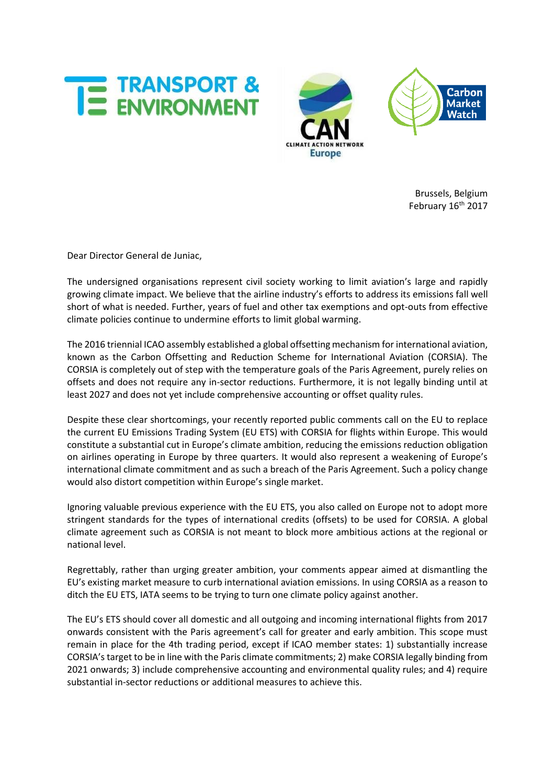





Brussels, Belgium February 16<sup>th</sup> 2017

Dear Director General de Juniac,

The undersigned organisations represent civil society working to limit aviation's large and rapidly growing climate impact. We believe that the airline industry's efforts to address its emissions fall well short of what is needed. Further, years of fuel and other tax exemptions and opt-outs from effective climate policies continue to undermine efforts to limit global warming.

The 2016 triennial ICAO assembly established a global offsetting mechanism for international aviation, known as the Carbon Offsetting and Reduction Scheme for International Aviation (CORSIA). The CORSIA is completely out of step with the temperature goals of the Paris Agreement, purely relies on offsets and does not require any in-sector reductions. Furthermore, it is not legally binding until at least 2027 and does not yet include comprehensive accounting or offset quality rules.

Despite these clear shortcomings, your recently reported public comments call on the EU to replace the current EU Emissions Trading System (EU ETS) with CORSIA for flights within Europe. This would constitute a substantial cut in Europe's climate ambition, reducing the emissions reduction obligation on airlines operating in Europe by three quarters. It would also represent a weakening of Europe's international climate commitment and as such a breach of the Paris Agreement. Such a policy change would also distort competition within Europe's single market.

Ignoring valuable previous experience with the EU ETS, you also called on Europe not to adopt more stringent standards for the types of international credits (offsets) to be used for CORSIA. A global climate agreement such as CORSIA is not meant to block more ambitious actions at the regional or national level.

Regrettably, rather than urging greater ambition, your comments appear aimed at dismantling the EU's existing market measure to curb international aviation emissions. In using CORSIA as a reason to ditch the EU ETS, IATA seems to be trying to turn one climate policy against another.

The EU's ETS should cover all domestic and all outgoing and incoming international flights from 2017 onwards consistent with the Paris agreement's call for greater and early ambition. This scope must remain in place for the 4th trading period, except if ICAO member states: 1) substantially increase CORSIA's target to be in line with the Paris climate commitments; 2) make CORSIA legally binding from 2021 onwards; 3) include comprehensive accounting and environmental quality rules; and 4) require substantial in-sector reductions or additional measures to achieve this.